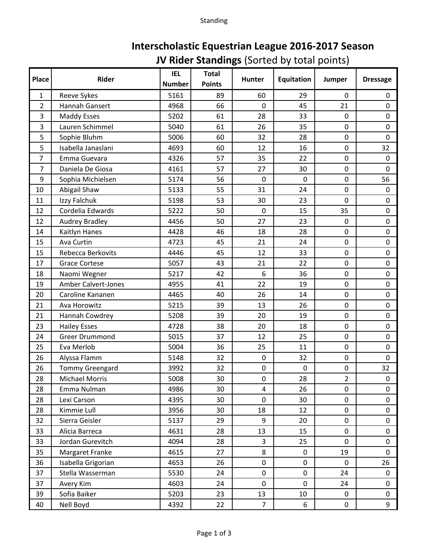| Interscholastic Equestrian League 2016-2017 Season |
|----------------------------------------------------|
| <b>JV Rider Standings (Sorted by total points)</b> |

| <b>Place</b>   | Rider                      | <b>IEL</b><br><b>Number</b> | <b>Total</b><br><b>Points</b> | <b>Hunter</b>  | <b>Equitation</b> | Jumper         | <b>Dressage</b>  |
|----------------|----------------------------|-----------------------------|-------------------------------|----------------|-------------------|----------------|------------------|
| $\mathbf{1}$   | Reeve Sykes                | 5161                        | 89                            | 60             | 29                | 0              | 0                |
| $\overline{2}$ | Hannah Gansert             | 4968                        | 66                            | $\mathbf 0$    | 45                | 21             | $\mathbf 0$      |
| 3              | <b>Maddy Esses</b>         | 5202                        | 61                            | 28             | 33                | $\pmb{0}$      | $\mathbf 0$      |
| 3              | Lauren Schimmel            | 5040                        | 61                            | 26             | 35                | $\pmb{0}$      | $\pmb{0}$        |
| 5              | Sophie Bluhm               | 5006                        | 60                            | 32             | 28                | 0              | $\mathbf 0$      |
| 5              | Isabella Janaslani         | 4693                        | 60                            | 12             | 16                | $\pmb{0}$      | 32               |
| 7              | Emma Guevara               | 4326                        | 57                            | 35             | 22                | 0              | $\boldsymbol{0}$ |
| $\overline{7}$ | Daniela De Giosa           | 4161                        | 57                            | 27             | 30                | $\pmb{0}$      | $\mathbf 0$      |
| 9              | Sophia Michielsen          | 5174                        | 56                            | $\mathbf 0$    | $\mathbf 0$       | 0              | 56               |
| 10             | Abigail Shaw               | 5133                        | 55                            | 31             | 24                | $\pmb{0}$      | 0                |
| 11             | Izzy Falchuk               | 5198                        | 53                            | 30             | 23                | 0              | $\mathbf 0$      |
| 12             | Cordelia Edwards           | 5222                        | 50                            | $\mathbf 0$    | 15                | 35             | $\pmb{0}$        |
| 12             | <b>Audrey Bradley</b>      | 4456                        | 50                            | 27             | 23                | 0              | $\mathbf 0$      |
| 14             | Kaitlyn Hanes              | 4428                        | 46                            | 18             | 28                | 0              | $\pmb{0}$        |
| 15             | Ava Curtin                 | 4723                        | 45                            | 21             | 24                | 0              | $\pmb{0}$        |
| 15             | Rebecca Berkovits          | 4446                        | 45                            | 12             | 33                | $\pmb{0}$      | $\pmb{0}$        |
| 17             | <b>Grace Cortese</b>       | 5057                        | 43                            | 21             | 22                | 0              | $\pmb{0}$        |
| 18             | Naomi Wegner               | 5217                        | 42                            | 6              | 36                | $\pmb{0}$      | $\pmb{0}$        |
| 19             | <b>Amber Calvert-Jones</b> | 4955                        | 41                            | 22             | 19                | 0              | $\pmb{0}$        |
| 20             | Caroline Kananen           | 4465                        | 40                            | 26             | 14                | $\pmb{0}$      | $\pmb{0}$        |
| 21             | Ava Horowitz               | 5215                        | 39                            | 13             | 26                | 0              | $\pmb{0}$        |
| 21             | Hannah Cowdrey             | 5208                        | 39                            | 20             | 19                | $\pmb{0}$      | $\pmb{0}$        |
| 23             | <b>Hailey Esses</b>        | 4728                        | 38                            | 20             | 18                | 0              | $\pmb{0}$        |
| 24             | <b>Greer Drummond</b>      | 5015                        | 37                            | 12             | 25                | $\pmb{0}$      | $\pmb{0}$        |
| 25             | Eva Merlob                 | 5004                        | 36                            | 25             | 11                | $\mathbf 0$    | $\pmb{0}$        |
| 26             | Alyssa Flamm               | 5148                        | 32                            | $\mathbf 0$    | 32                | $\pmb{0}$      | $\mathbf 0$      |
| 26             | <b>Tommy Greengard</b>     | 3992                        | 32                            | $\pmb{0}$      | $\boldsymbol{0}$  | $\pmb{0}$      | 32               |
| 28             | <b>Michael Morris</b>      | 5008                        | 30                            | 0              | 28                | $\overline{2}$ | $\mathbf 0$      |
| 28             | Emma Nulman                | 4986                        | 30                            | $\overline{4}$ | 26                | $\pmb{0}$      | 0                |
| 28             | Lexi Carson                | 4395                        | 30                            | $\pmb{0}$      | 30                | $\pmb{0}$      | 0                |
| 28             | Kimmie Lull                | 3956                        | 30                            | 18             | 12                | 0              | $\pmb{0}$        |
| 32             | Sierra Geisler             | 5137                        | 29                            | 9              | 20                | $\pmb{0}$      | 0                |
| 33             | Alicia Barreca             | 4631                        | 28                            | 13             | 15                | 0              | 0                |
| 33             | Jordan Gurevitch           | 4094                        | 28                            | 3              | 25                | $\pmb{0}$      | 0                |
| 35             | Margaret Franke            | 4615                        | 27                            | 8              | 0                 | 19             | $\mathbf 0$      |
| 36             | Isabella Grigorian         | 4653                        | 26                            | $\pmb{0}$      | 0                 | $\pmb{0}$      | 26               |
| 37             | Stella Wasserman           | 5530                        | 24                            | $\mathbf 0$    | 0                 | 24             | $\mathbf 0$      |
| 37             | Avery Kim                  | 4603                        | 24                            | $\pmb{0}$      | 0                 | 24             | 0                |
| 39             | Sofia Baiker               | 5203                        | 23                            | 13             | 10                | $\pmb{0}$      | 0                |
| 40             | Nell Boyd                  | 4392                        | 22                            | $\overline{7}$ | 6                 | $\pmb{0}$      | 9                |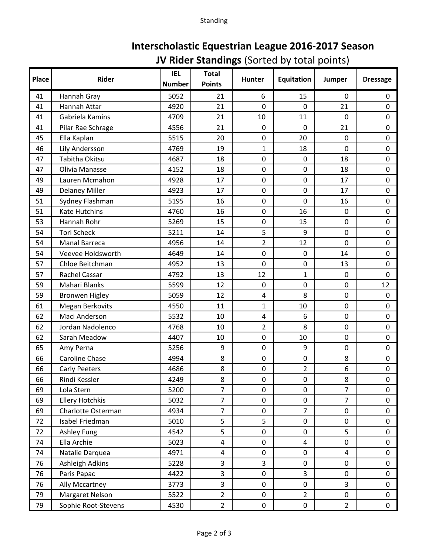| Interscholastic Equestrian League 2016-2017 Season |
|----------------------------------------------------|
| <b>JV Rider Standings</b> (Sorted by total points) |

| Place | Rider                  | <b>IEL</b><br><b>Number</b> | <b>Total</b><br><b>Points</b> | <b>Hunter</b>  | <b>Equitation</b>       | Jumper                  | <b>Dressage</b> |
|-------|------------------------|-----------------------------|-------------------------------|----------------|-------------------------|-------------------------|-----------------|
| 41    | Hannah Gray            | 5052                        | 21                            | 6              | 15                      | 0                       | 0               |
| 41    | Hannah Attar           | 4920                        | 21                            | $\overline{0}$ | 0                       | 21                      | 0               |
| 41    | Gabriela Kamins        | 4709                        | 21                            | 10             | 11                      | 0                       | 0               |
| 41    | Pilar Rae Schrage      | 4556                        | 21                            | $\mathbf 0$    | $\mathbf 0$             | 21                      | 0               |
| 45    | Ella Kaplan            | 5515                        | 20                            | 0              | 20                      | $\mathbf 0$             | 0               |
| 46    | Lily Andersson         | 4769                        | 19                            | $\mathbf{1}$   | 18                      | 0                       | 0               |
| 47    | Tabitha Okitsu         | 4687                        | 18                            | $\mathbf 0$    | $\mathbf 0$             | 18                      | 0               |
| 47    | Olivia Manasse         | 4152                        | 18                            | $\mathbf 0$    | $\boldsymbol{0}$        | 18                      | 0               |
| 49    | Lauren Mcmahon         | 4928                        | 17                            | 0              | 0                       | 17                      | 0               |
| 49    | <b>Delaney Miller</b>  | 4923                        | 17                            | $\mathbf 0$    | $\boldsymbol{0}$        | 17                      | 0               |
| 51    | Sydney Flashman        | 5195                        | 16                            | 0              | $\mathbf 0$             | 16                      | 0               |
| 51    | <b>Kate Hutchins</b>   | 4760                        | 16                            | $\mathbf 0$    | 16                      | $\pmb{0}$               | 0               |
| 53    | Hannah Rohr            | 5269                        | 15                            | $\mathbf 0$    | 15                      | $\mathbf 0$             | 0               |
| 54    | <b>Tori Scheck</b>     | 5211                        | 14                            | 5              | 9                       | $\pmb{0}$               | 0               |
| 54    | <b>Manal Barreca</b>   | 4956                        | 14                            | $\overline{2}$ | 12                      | $\mathbf 0$             | 0               |
| 54    | Veevee Holdsworth      | 4649                        | 14                            | $\mathbf 0$    | $\mathbf 0$             | 14                      | 0               |
| 57    | Chloe Beitchman        | 4952                        | 13                            | $\overline{0}$ | $\boldsymbol{0}$        | 13                      | 0               |
| 57    | Rachel Cassar          | 4792                        | 13                            | 12             | $\mathbf 1$             | 0                       | 0               |
| 59    | Mahari Blanks          | 5599                        | 12                            | $\mathbf 0$    | $\boldsymbol{0}$        | $\mathbf 0$             | 12              |
| 59    | <b>Bronwen Higley</b>  | 5059                        | 12                            | $\overline{4}$ | 8                       | $\pmb{0}$               | $\mathbf 0$     |
| 61    | <b>Megan Berkovits</b> | 4550                        | 11                            | $\mathbf{1}$   | 10                      | $\mathbf 0$             | 0               |
| 62    | Maci Anderson          | 5532                        | 10                            | $\overline{4}$ | 6                       | $\pmb{0}$               | 0               |
| 62    | Jordan Nadolenco       | 4768                        | 10                            | $\overline{2}$ | 8                       | $\mathbf 0$             | 0               |
| 62    | Sarah Meadow           | 4407                        | 10                            | $\mathbf 0$    | 10                      | $\pmb{0}$               | 0               |
| 65    | Amy Perna              | 5256                        | 9                             | $\mathbf 0$    | 9                       | $\mathbf 0$             | 0               |
| 66    | Caroline Chase         | 4994                        | 8                             | $\mathbf 0$    | $\pmb{0}$               | 8                       | 0               |
| 66    | <b>Carly Peeters</b>   | 4686                        | 8                             | 0              | 2                       | 6                       | 0               |
| 66    | Rindi Kessler          | 4249                        | 8                             | $\overline{0}$ | $\pmb{0}$               | 8                       | 0               |
| 69    | Lola Stern             | 5200                        | $\overline{7}$                | $\overline{0}$ | $\mathbf 0$             | $\overline{7}$          | 0               |
| 69    | <b>Ellery Hotchkis</b> | 5032                        | $\overline{7}$                | $\mathbf 0$    | 0                       | $\overline{7}$          | 0               |
| 69    | Charlotte Osterman     | 4934                        | $\overline{7}$                | $\mathbf 0$    | 7                       | $\mathbf 0$             | 0               |
| 72    | Isabel Friedman        | 5010                        | 5                             | 5              | $\mathbf 0$             | $\pmb{0}$               | 0               |
| 72    | <b>Ashley Fung</b>     | 4542                        | 5                             | $\mathbf 0$    | $\mathbf 0$             | 5                       | 0               |
| 74    | Ella Archie            | 5023                        | 4                             | $\pmb{0}$      | $\overline{\mathbf{4}}$ | $\pmb{0}$               | 0               |
| 74    | Natalie Darquea        | 4971                        | 4                             | $\mathbf 0$    | $\mathbf 0$             | $\overline{\mathbf{4}}$ | 0               |
| 76    | Ashleigh Adkins        | 5228                        | $\overline{3}$                | 3              | $\mathbf 0$             | $\pmb{0}$               | 0               |
| 76    | Paris Papac            | 4422                        | $\overline{3}$                | $\mathbf 0$    | 3                       | $\pmb{0}$               | 0               |
| 76    | Ally Mccartney         | 3773                        | $\overline{3}$                | $\mathbf 0$    | $\pmb{0}$               | 3                       | 0               |
| 79    | Margaret Nelson        | 5522                        | $\overline{2}$                | $\mathbf 0$    | $\overline{2}$          | 0                       | 0               |
| 79    | Sophie Root-Stevens    | 4530                        | $\overline{2}$                | $\pmb{0}$      | $\mathsf{O}\xspace$     | $\overline{2}$          | 0               |